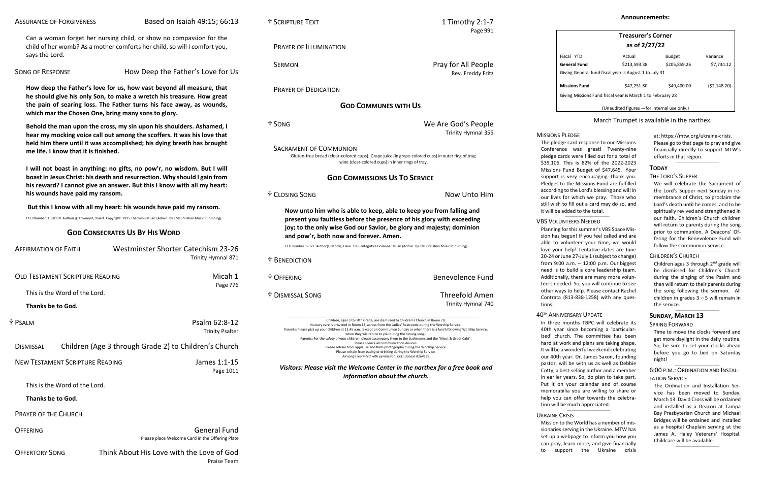Can a woman forget her nursing child, or show no compassion for the child of her womb? As a mother comforts her child, so will I comfort you, says the Lord.

SONG OF RESPONSE How Deep the Father's Love for Us

**How deep the Father's love for us, how vast beyond all measure, that he should give his only Son, to make a wretch his treasure. How great the pain of searing loss. The Father turns his face away, as wounds, which mar the Chosen One, bring many sons to glory.**

**Behold the man upon the cross, my sin upon his shoulders. Ashamed, I hear my mocking voice call out among the scoffers. It was his love that held him there until it was accomplished; his dying breath has brought me life. I know that it is finished.**

**I will not boast in anything: no gifts, no pow'r, no wisdom. But I will boast in Jesus Christ: his death and resurrection. Why should I gain from his reward? I cannot give an answer. But this I know with all my heart: his wounds have paid my ransom.**

**But this I know with all my heart: his wounds have paid my ransom.**

CCLI Number: 1558110 Author(s): Townend, Stuart. Copyright: 1995 Thankyou Music (Admin. by EMI Christian Music Publishing).

# **GOD CONSECRATES US BY HIS WORD**

| <b>AFFIRMATION OF FAITH</b>                                               | <b>Westminster Shorter Catechism 23-26</b><br>Trinity Hymnal 871       |  |  |
|---------------------------------------------------------------------------|------------------------------------------------------------------------|--|--|
| <b>OLD TESTAMENT SCRIPTURE READING</b>                                    | Micah 1                                                                |  |  |
| This is the Word of the Lord.                                             | Page 776                                                               |  |  |
| Thanks be to God.                                                         |                                                                        |  |  |
| † Psalm                                                                   | Psalm 62:8-12<br><b>Trinity Psalter</b>                                |  |  |
| Children (Age 3 through Grade 2) to Children's Church<br><b>DISMISSAL</b> |                                                                        |  |  |
| <b>NEW TESTAMENT SCRIPTURE READING</b>                                    | James 1:1-15<br>Page 1011                                              |  |  |
| This is the Word of the Lord.                                             |                                                                        |  |  |
| Thanks be to God.                                                         |                                                                        |  |  |
| <b>PRAYER OF THE CHURCH</b>                                               |                                                                        |  |  |
| <b>OFFERING</b>                                                           | <b>General Fund</b><br>Please place Welcome Card in the Offering Plate |  |  |
| <b>OFFERTORY SONG</b>                                                     | Think About His Love with the Love of God                              |  |  |

|  | SCRIPTURE TEXT |  |
|--|----------------|--|
|--|----------------|--|

Children, ages 3 to Fifth Grade, are dismissed to Children's Church in Room 20. Nursery care is provided in Room 13, across from the Ladies' Restroom, during the Worship Service. Parents: Please pick up your children at 11:45 a.m. (except on Communion Sunday or when there is a lunch following Worship Service, when they will return to you during the closing song). Parents: For the safety of your children, please accompany them to the bathrooms and the "Meet & Greet Café". Please silence all communication devices. Please refrain from applause and flash photography during the Worship Service. Please refrain from eating or drinking during the Worship Service.

Praise Team

Page 991

PRAYER OF ILLUMINATION

SERMON **Pray for All People** 

Rev. Freddy Fritz

PRAYER OF DEDICATION

### **GOD COMMUNES WITH US**

† SONG We Are God's People

Trinity Hymnal 355

 $1$  Timothy 2:1-7

SACRAMENT OF COMMUNION

Please go to that page to pray and give financially directly to support MTW's efforts in that region.  $\_$ 

Gluten-free bread (clear-colored cups). Grape juice (in grape-colored cups) in outer ring of tray; wine (clear-colored cups) in inner rings of tray.

# **GOD COMMISSIONS US TO SERVICE**

† CLOSING SONG Now Unto Him

**Now unto him who is able to keep, able to keep you from falling and present you faultless before the presence of his glory with exceeding joy; to the only wise God our Savior, be glory and majesty; dominion and pow'r, both now and forever. Amen.**

> Children ages 3 through 2<sup>nd</sup> grade will be dismissed for Children's Church during the singing of the Psalm and then will return to their parents during the song following the sermon. All children in grades  $3 - 5$  will remain in the service.

CCLI number 17322. Author(s) Morris, Dave. 1986 Integrity's Hosanna! Music (Admin. by EMI Christian Music Publishing).

† BENEDICTION † OFFERING Benevolence Fund

### $\_$ 6:00 P.M.: ORDINATION AND INSTAL-LATION SERVICE

† DISMISSAL SONG Threefold Amen Trinity Hymnal 740

> In three months TBPC will celebrate its 40th year since becoming a 'particularized' church. The committee has been hard at work and plans are taking shape. It will be a wonderful weekend celebrating our 40th year. Dr. James Saxon, founding pastor, will be with us as well as Debbie Cotty, a best-selling author and a member in earlier years. So, do plan to take part. Put it on your calendar and of course memorabilia you are willing to share or help you can offer towards the celebration will be much appreciated.  $\_$

*All songs reprinted with permission. CCLI License #264182.*

# **MISSIONS PLEDGE**

*Visitors: Please visit the Welcome Center in the narthex for a free book and information about the church.*

| <b>Treasurer's Corner</b><br>as of 2/27/22                 |              |               |              |  |  |  |
|------------------------------------------------------------|--------------|---------------|--------------|--|--|--|
| Fiscal YTD                                                 | Actual       | <b>Budget</b> | Variance     |  |  |  |
| General Fund                                               | \$213,593.38 | \$205,859.26  | \$7,734.12   |  |  |  |
| Giving General fund fiscal year is August 1 to July 31     |              |               |              |  |  |  |
| <b>Missions Fund</b>                                       | \$47.251.80  | \$49,400.00   | (52, 148.20) |  |  |  |
| Giving Missions Fund fiscal year is March 1 to February 28 |              |               |              |  |  |  |
| (Unaudited figures - for internal use only.)               |              |               |              |  |  |  |

### March Trumpet is available in the narthex.

at: [https://mtw.org/ukraine-crisis.](https://mtw.org/ukraine-crisis) 

### **TODAY**

### THE LORD'S SUPPER

We will celebrate the Sacrament of the Lord's Supper next Sunday in remembrance of Christ, to proclaim the Lord's death until he comes, and to be spiritually revived and strengthened in our faith. Children's Church children will return to parents during the song prior to communion. A Deacons' Offering for the Benevolence Fund will follow the Communion Service.

### CHILDREN'S CHURCH

\_\_\_\_\_\_\_\_\_\_\_\_\_\_\_\_\_\_\_\_\_\_\_\_\_\_\_\_\_\_\_\_\_\_\_

 $\_$ 

### **SUNDAY, MARCH 13**

### SPRING FORWARD

Time to move the clocks forward and get more daylight in the daily routine. So, be sure to set your clocks ahead before you go to bed on Saturday night!

The Ordination and Installation Service has been moved to Sunday, March 13. David Cross will be ordained and installed as a Deacon at Tampa Bay Presbyterian Church and Michael Bridges will be ordained and installed as a hospital Chaplain serving at the James A. Haley Veterans' Hospital. Childcare will be available.

 $\_$ 

The pledge card response to our Missions Conference was great! Twenty-nine pledge cards were filled out for a total of \$39,106. This is 82% of the 2022-2023 Missions Fund Budget of \$47,645. Your support is very encouraging--thank you. Pledges to the Missions Fund are fulfilled according to the Lord's blessing and will in our lives for which we pray. Those who still wish to fill out a card may do so, and it will be added to the total.

### VBS VOLUNTEERS NEEDED

 $\_$ 

Planning for this summer's VBS Space Mission has begun! If you feel called and are able to volunteer your time, we would love your help! Tentative dates are June 20-24 or June 27-July 1 (subject to change) from 9:00 a.m. – 12:00 p.m. Our biggest need is to build a core leadership team. Additionally, there are many more volunteers needed. So, you will continue to see other ways to help. Please contact Rachel Contrata (813-838-1258) with any questions.

### 40TH ANNIVERSARY UPDATE

 $\_$ 

UKRAINE CRISIS

Mission to the World has a number of missionaries serving in the Ukraine. MTW has set up a webpage to inform you how you can pray, learn more, and give financially to support the Ukraine crisis